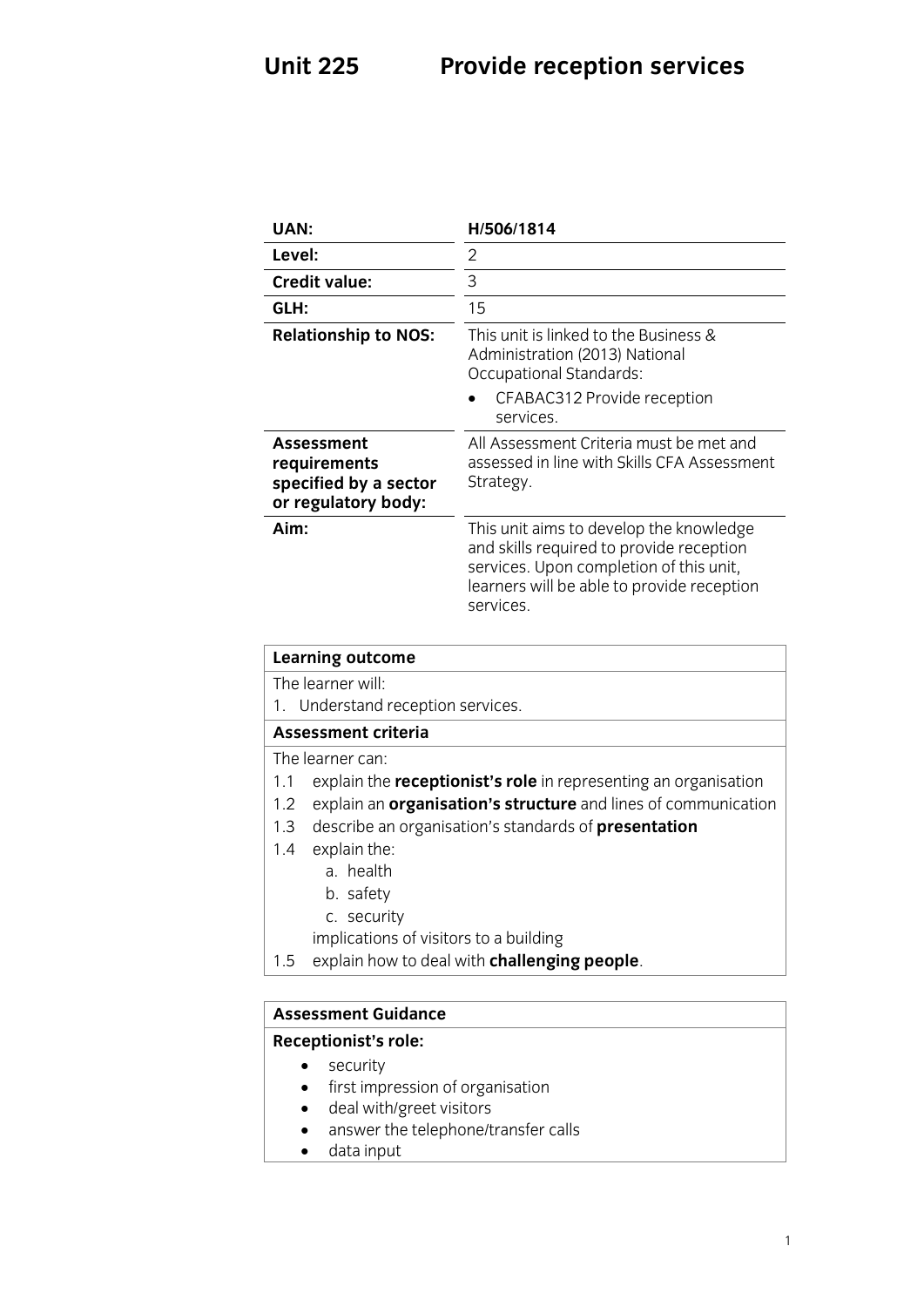### **Provide reception services Unit 225**

| UAN:                                                                       | H/506/1814                                                                                                                                                                                |
|----------------------------------------------------------------------------|-------------------------------------------------------------------------------------------------------------------------------------------------------------------------------------------|
| Level:                                                                     | 2                                                                                                                                                                                         |
| <b>Credit value:</b>                                                       | 3                                                                                                                                                                                         |
| GLH:                                                                       | 15                                                                                                                                                                                        |
| <b>Relationship to NOS:</b>                                                | This unit is linked to the Business &<br>Administration (2013) National<br>Occupational Standards:                                                                                        |
|                                                                            | CFABAC312 Provide reception<br>services.                                                                                                                                                  |
| Assessment<br>requirements<br>specified by a sector<br>or regulatory body: | All Assessment Criteria must be met and<br>assessed in line with Skills CFA Assessment<br>Strategy.                                                                                       |
| Aim:                                                                       | This unit aims to develop the knowledge<br>and skills required to provide reception<br>services. Upon completion of this unit,<br>learners will be able to provide reception<br>services. |
| Learning outcome                                                           |                                                                                                                                                                                           |

**Learning outcome**<br>The learner will:

1. Understand reception services.

## Assessment criteria

The learner can:

- 1.1 explain the **receptionist's role** in representing an organisation
- 1.2 explain an **organisation's structure** and lines of communication
- 1.3 describe an organisation's standards of **presentation**
- 1.4 explain the:
	- a. health
	- b. safety
	- c. security

implications of visitors to a building

in the visitors of visitors of 1.5 explain how to deal with **challenging people**.

# **Assessment Guidance**

- **e** security<br> **e** first impressi
	- first impression of organisation
	- deal with/greet visitors
	- answer the telephone/transfer calls<br>• data input
	- data input